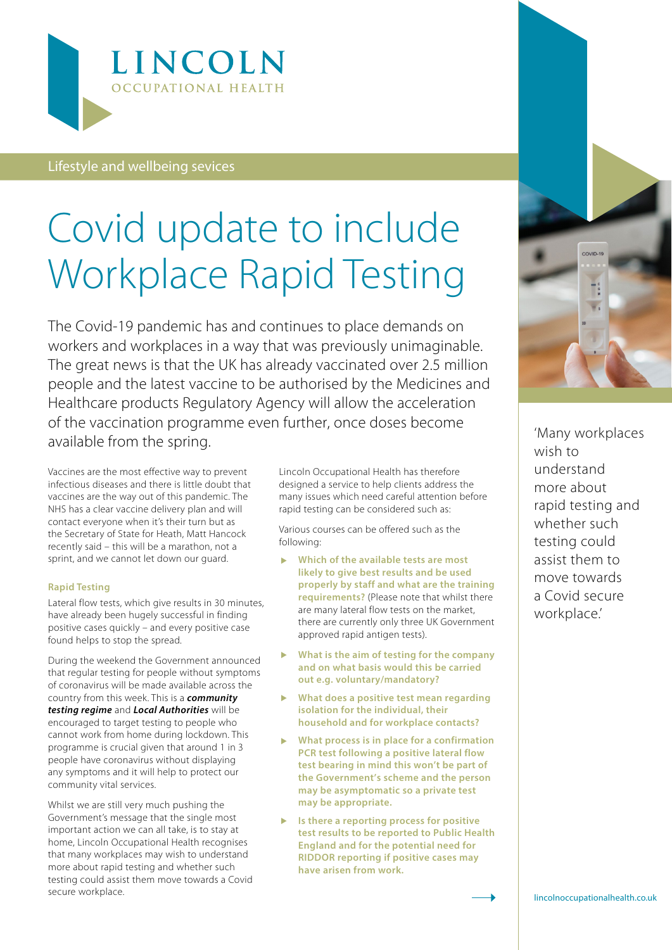

### Lifestyle and wellbeing sevices

# Covid update to include Workplace Rapid Testing

The Covid-19 pandemic has and continues to place demands on workers and workplaces in a way that was previously unimaginable. The great news is that the UK has already vaccinated over 2.5 million people and the latest vaccine to be authorised by the Medicines and Healthcare products Regulatory Agency will allow the acceleration of the vaccination programme even further, once doses become available from the spring.

Vaccines are the most effective way to prevent infectious diseases and there is little doubt that vaccines are the way out of this pandemic. The NHS has a clear vaccine delivery plan and will contact everyone when it's their turn but as the Secretary of State for Heath, Matt Hancock recently said – this will be a marathon, not a sprint, and we cannot let down our guard.

#### **Rapid Testing**

Lateral flow tests, which give results in 30 minutes, have already been hugely successful in finding positive cases quickly – and every positive case found helps to stop the spread.

During the weekend the Government announced that regular testing for people without symptoms of coronavirus will be made available across the country from this week. This is a *community testing regime* and *Local Authorities* will be encouraged to target testing to people who cannot work from home during lockdown. This programme is crucial given that around 1 in 3 people have coronavirus without displaying any symptoms and it will help to protect our community vital services.

Whilst we are still very much pushing the Government's message that the single most important action we can all take, is to stay at home, Lincoln Occupational Health recognises that many workplaces may wish to understand more about rapid testing and whether such testing could assist them move towards a Covid secure workplace.

Lincoln Occupational Health has therefore designed a service to help clients address the many issues which need careful attention before rapid testing can be considered such as:

Various courses can be offered such as the following:

- **Which of the available tests are most likely to give best results and be used properly by staff and what are the training requirements?** (Please note that whilst there are many lateral flow tests on the market, there are currently only three UK Government approved rapid antigen tests).
- **What is the aim of testing for the company and on what basis would this be carried out e.g. voluntary/mandatory?**
- **What does a positive test mean regarding isolation for the individual, their household and for workplace contacts?**
- **What process is in place for a confirmation PCR test following a positive lateral flow test bearing in mind this won't be part of the Government's scheme and the person may be asymptomatic so a private test may be appropriate.**
- **Is there a reporting process for positive test results to be reported to Public Health England and for the potential need for RIDDOR reporting if positive cases may have arisen from work.**



'Many workplaces wish to understand more about rapid testing and whether such testing could assist them to move towards a Covid secure workplace.'